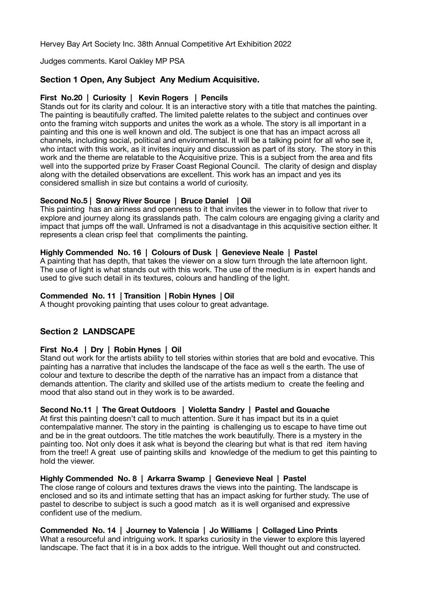Hervey Bay Art Society Inc. 38th Annual Competitive Art Exhibition 2022

Judges comments. Karol Oakley MP PSA

## **Section 1 Open, Any Subject Any Medium Acquisitive.**

#### **First No.20 | Curiosity | Kevin Rogers | Pencils**

Stands out for its clarity and colour. It is an interactive story with a title that matches the painting. The painting is beautifully crafted. The limited palette relates to the subject and continues over onto the framing witch supports and unites the work as a whole. The story is all important in a painting and this one is well known and old. The subject is one that has an impact across all channels, including social, political and environmental. It will be a talking point for all who see it, who intact with this work, as it invites inquiry and discussion as part of its story. The story in this work and the theme are relatable to the Acquisitive prize. This is a subject from the area and fits well into the supported prize by Fraser Coast Regional Council. The clarity of design and display along with the detailed observations are excellent. This work has an impact and yes its considered smallish in size but contains a world of curiosity.

## **Second No.5 | Snowy River Source | Bruce Daniel | Oil**

This painting has an airiness and openness to it that invites the viewer in to follow that river to explore and journey along its grasslands path. The calm colours are engaging giving a clarity and impact that jumps off the wall. Unframed is not a disadvantage in this acquisitive section either. It represents a clean crisp feel that compliments the painting.

#### **Highly Commended No. 16 | Colours of Dusk | Genevieve Neale | Pastel**

A painting that has depth, that takes the viewer on a slow turn through the late afternoon light. The use of light is what stands out with this work. The use of the medium is in expert hands and used to give such detail in its textures, colours and handling of the light.

#### **Commended No. 11 | Transition | Robin Hynes | Oil**

A thought provoking painting that uses colour to great advantage.

## **Section 2 LANDSCAPE**

## **First No.4 | Dry | Robin Hynes | Oil**

Stand out work for the artists ability to tell stories within stories that are bold and evocative. This painting has a narrative that includes the landscape of the face as well s the earth. The use of colour and texture to describe the depth of the narrative has an impact from a distance that demands attention. The clarity and skilled use of the artists medium to create the feeling and mood that also stand out in they work is to be awarded.

## **Second No.11 | The Great Outdoors | Violetta Sandry | Pastel and Gouache**

At first this painting doesn't call to much attention. Sure it has impact but its in a quiet contempalative manner. The story in the painting is challenging us to escape to have time out and be in the great outdoors. The title matches the work beautifully. There is a mystery in the painting too. Not only does it ask what is beyond the clearing but what is that red item having from the tree!! A great use of painting skills and knowledge of the medium to get this painting to hold the viewer.

#### **Highly Commended No. 8 | Arkarra Swamp | Genevieve Neal | Pastel**

The close range of colours and textures draws the views into the painting. The landscape is enclosed and so its and intimate setting that has an impact asking for further study. The use of pastel to describe to subject is such a good match as it is well organised and expressive confident use of the medium.

## **Commended No. 14 | Journey to Valencia | Jo Williams | Collaged Lino Prints**

What a resourceful and intriguing work. It sparks curiosity in the viewer to explore this layered landscape. The fact that it is in a box adds to the intrigue. Well thought out and constructed.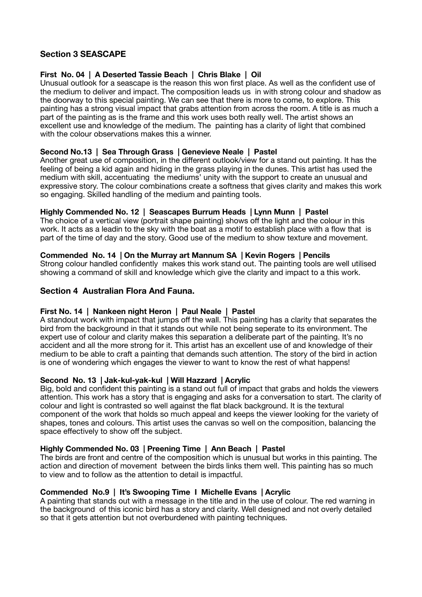# **Section 3 SEASCAPE**

## **First No. 04 | A Deserted Tassie Beach | Chris Blake | Oil**

Unusual outlook for a seascape is the reason this won first place. As well as the confident use of the medium to deliver and impact. The composition leads us in with strong colour and shadow as the doorway to this special painting. We can see that there is more to come, to explore. This painting has a strong visual impact that grabs attention from across the room. A title is as much a part of the painting as is the frame and this work uses both really well. The artist shows an excellent use and knowledge of the medium. The painting has a clarity of light that combined with the colour observations makes this a winner.

## **Second No.13 | Sea Through Grass | Genevieve Neale | Pastel**

Another great use of composition, in the different outlook/view for a stand out painting. It has the feeling of being a kid again and hiding in the grass playing in the dunes. This artist has used the medium with skill, accentuating the mediums' unity with the support to create an unusual and expressive story. The colour combinations create a softness that gives clarity and makes this work so engaging. Skilled handling of the medium and painting tools.

## **Highly Commended No. 12 | Seascapes Burrum Heads | Lynn Munn | Pastel**

The choice of a vertical view (portrait shape painting) shows off the light and the colour in this work. It acts as a leadin to the sky with the boat as a motif to establish place with a flow that is part of the time of day and the story. Good use of the medium to show texture and movement.

#### **Commended No. 14 | On the Murray art Mannum SA | Kevin Rogers | Pencils**

Strong colour handled confidently makes this work stand out. The painting tools are well utilised showing a command of skill and knowledge which give the clarity and impact to a this work.

## **Section 4 Australian Flora And Fauna.**

## **First No. 14 | Nankeen night Heron | Paul Neale | Pastel**

A standout work with impact that jumps off the wall. This painting has a clarity that separates the bird from the background in that it stands out while not being seperate to its environment. The expert use of colour and clarity makes this separation a deliberate part of the painting. It's no accident and all the more strong for it. This artist has an excellent use of and knowledge of their medium to be able to craft a painting that demands such attention. The story of the bird in action is one of wondering which engages the viewer to want to know the rest of what happens!

#### **Second No. 13 | Jak-kul-yak-kul | Will Hazzard | Acrylic**

Big, bold and confident this painting is a stand out full of impact that grabs and holds the viewers attention. This work has a story that is engaging and asks for a conversation to start. The clarity of colour and light is contrasted so well against the flat black background. It is the textural component of the work that holds so much appeal and keeps the viewer looking for the variety of shapes, tones and colours. This artist uses the canvas so well on the composition, balancing the space effectively to show off the subject.

#### **Highly Commended No. 03 | Preening Time | Ann Beach | Pastel**

The birds are front and centre of the composition which is unusual but works in this painting. The action and direction of movement between the birds links them well. This painting has so much to view and to follow as the attention to detail is impactful.

#### **Commended No.9 | It's Swooping Time I Michelle Evans | Acrylic**

A painting that stands out with a message in the title and in the use of colour. The red warning in the background of this iconic bird has a story and clarity. Well designed and not overly detailed so that it gets attention but not overburdened with painting techniques.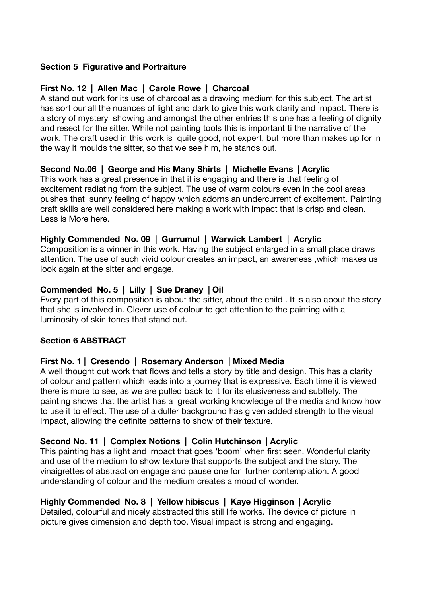# **Section 5 Figurative and Portraiture**

# **First No. 12 | Allen Mac | Carole Rowe | Charcoal**

A stand out work for its use of charcoal as a drawing medium for this subject. The artist has sort our all the nuances of light and dark to give this work clarity and impact. There is a story of mystery showing and amongst the other entries this one has a feeling of dignity and resect for the sitter. While not painting tools this is important ti the narrative of the work. The craft used in this work is quite good, not expert, but more than makes up for in the way it moulds the sitter, so that we see him, he stands out.

# **Second No.06 | George and His Many Shirts | Michelle Evans | Acrylic**

This work has a great presence in that it is engaging and there is that feeling of excitement radiating from the subject. The use of warm colours even in the cool areas pushes that sunny feeling of happy which adorns an undercurrent of excitement. Painting craft skills are well considered here making a work with impact that is crisp and clean. Less is More here.

# **Highly Commended No. 09 | Gurrumul | Warwick Lambert | Acrylic**

Composition is a winner in this work. Having the subject enlarged in a small place draws attention. The use of such vivid colour creates an impact, an awareness ,which makes us look again at the sitter and engage.

# **Commended No. 5 | Lilly | Sue Draney | Oil**

Every part of this composition is about the sitter, about the child . It is also about the story that she is involved in. Clever use of colour to get attention to the painting with a luminosity of skin tones that stand out.

## **Section 6 ABSTRACT**

## **First No. 1 | Cresendo | Rosemary Anderson | Mixed Media**

A well thought out work that flows and tells a story by title and design. This has a clarity of colour and pattern which leads into a journey that is expressive. Each time it is viewed there is more to see, as we are pulled back to it for its elusiveness and subtlety. The painting shows that the artist has a great working knowledge of the media and know how to use it to effect. The use of a duller background has given added strength to the visual impact, allowing the definite patterns to show of their texture.

# **Second No. 11 | Complex Notions | Colin Hutchinson | Acrylic**

This painting has a light and impact that goes 'boom' when first seen. Wonderful clarity and use of the medium to show texture that supports the subject and the story. The vinaigrettes of abstraction engage and pause one for further contemplation. A good understanding of colour and the medium creates a mood of wonder.

# **Highly Commended No. 8 | Yellow hibiscus | Kaye Higginson | Acrylic**

Detailed, colourful and nicely abstracted this still life works. The device of picture in picture gives dimension and depth too. Visual impact is strong and engaging.